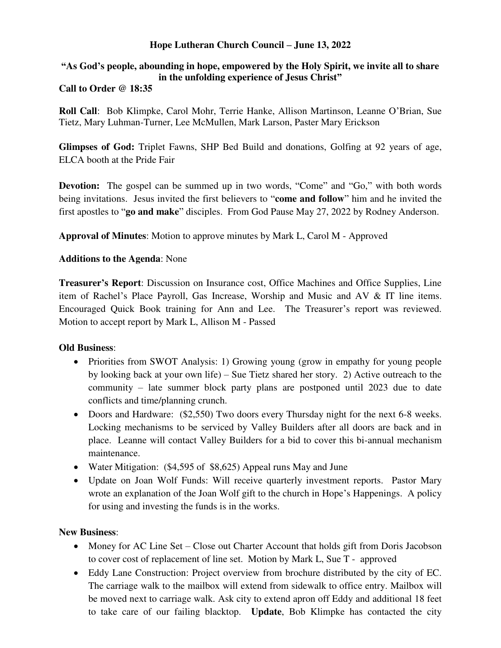### **Hope Lutheran Church Council – June 13, 2022**

# **"As God's people, abounding in hope, empowered by the Holy Spirit, we invite all to share in the unfolding experience of Jesus Christ"**

## **Call to Order @ 18:35**

**Roll Call**: Bob Klimpke, Carol Mohr, Terrie Hanke, Allison Martinson, Leanne O'Brian, Sue Tietz, Mary Luhman-Turner, Lee McMullen, Mark Larson, Paster Mary Erickson

**Glimpses of God:** Triplet Fawns, SHP Bed Build and donations, Golfing at 92 years of age, ELCA booth at the Pride Fair

**Devotion:** The gospel can be summed up in two words, "Come" and "Go," with both words being invitations. Jesus invited the first believers to "**come and follow**" him and he invited the first apostles to "**go and make**" disciples. From God Pause May 27, 2022 by Rodney Anderson.

**Approval of Minutes**: Motion to approve minutes by Mark L, Carol M - Approved

#### **Additions to the Agenda**: None

**Treasurer's Report**: Discussion on Insurance cost, Office Machines and Office Supplies, Line item of Rachel's Place Payroll, Gas Increase, Worship and Music and AV & IT line items. Encouraged Quick Book training for Ann and Lee. The Treasurer's report was reviewed. Motion to accept report by Mark L, Allison M - Passed

#### **Old Business**:

- Priorities from SWOT Analysis: 1) Growing young (grow in empathy for young people by looking back at your own life) – Sue Tietz shared her story. 2) Active outreach to the community – late summer block party plans are postponed until 2023 due to date conflicts and time/planning crunch.
- Doors and Hardware: (\$2,550) Two doors every Thursday night for the next 6-8 weeks. Locking mechanisms to be serviced by Valley Builders after all doors are back and in place. Leanne will contact Valley Builders for a bid to cover this bi-annual mechanism maintenance.
- Water Mitigation: (\$4,595 of \$8,625) Appeal runs May and June
- Update on Joan Wolf Funds: Will receive quarterly investment reports. Pastor Mary wrote an explanation of the Joan Wolf gift to the church in Hope's Happenings. A policy for using and investing the funds is in the works.

#### **New Business**:

- Money for AC Line Set Close out Charter Account that holds gift from Doris Jacobson to cover cost of replacement of line set. Motion by Mark L, Sue T - approved
- Eddy Lane Construction: Project overview from brochure distributed by the city of EC. The carriage walk to the mailbox will extend from sidewalk to office entry. Mailbox will be moved next to carriage walk. Ask city to extend apron off Eddy and additional 18 feet to take care of our failing blacktop. **Update**, Bob Klimpke has contacted the city